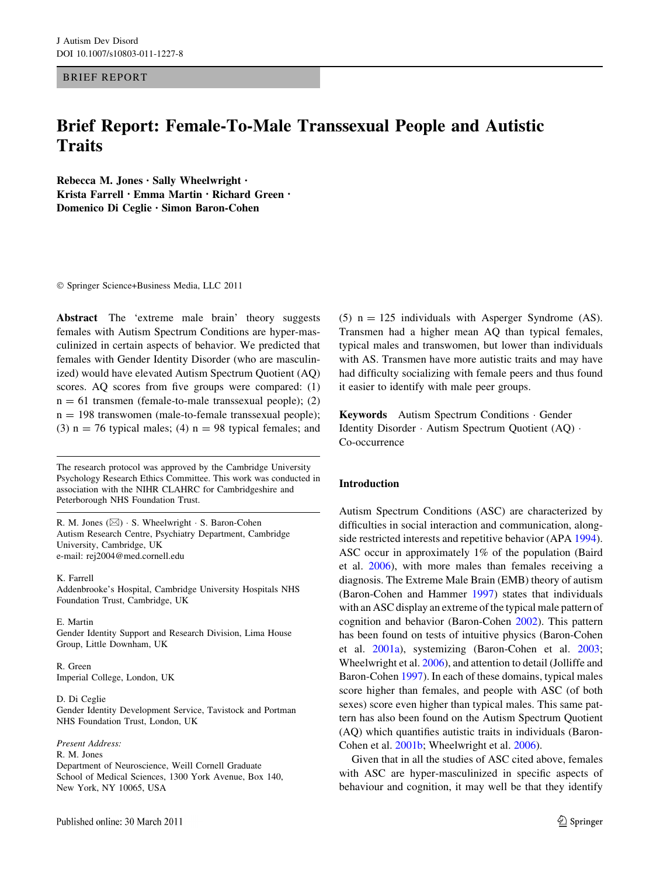BRIEF REPORT

# Brief Report: Female-To-Male Transsexual People and Autistic **Traits**

Rebecca M. Jones • Sally Wheelwright • Krista Farrell • Emma Martin • Richard Green • Domenico Di Ceglie • Simon Baron-Cohen

- Springer Science+Business Media, LLC 2011

Abstract The 'extreme male brain' theory suggests females with Autism Spectrum Conditions are hyper-masculinized in certain aspects of behavior. We predicted that females with Gender Identity Disorder (who are masculinized) would have elevated Autism Spectrum Quotient (AQ) scores. AQ scores from five groups were compared: (1)  $n = 61$  transmen (female-to-male transsexual people); (2)  $n = 198$  transwomen (male-to-female transsexual people); (3)  $n = 76$  typical males; (4)  $n = 98$  typical females; and

The research protocol was approved by the Cambridge University Psychology Research Ethics Committee. This work was conducted in association with the NIHR CLAHRC for Cambridgeshire and Peterborough NHS Foundation Trust.

R. M. Jones ( $\boxtimes$ ) · S. Wheelwright · S. Baron-Cohen Autism Research Centre, Psychiatry Department, Cambridge University, Cambridge, UK e-mail: rej2004@med.cornell.edu

K. Farrell Addenbrooke's Hospital, Cambridge University Hospitals NHS Foundation Trust, Cambridge, UK

E. Martin Gender Identity Support and Research Division, Lima House Group, Little Downham, UK

R. Green Imperial College, London, UK

D. Di Ceglie Gender Identity Development Service, Tavistock and Portman NHS Foundation Trust, London, UK

Present Address: R. M. Jones Department of Neuroscience, Weill Cornell Graduate School of Medical Sciences, 1300 York Avenue, Box 140, New York, NY 10065, USA

(5)  $n = 125$  individuals with Asperger Syndrome (AS). Transmen had a higher mean AQ than typical females, typical males and transwomen, but lower than individuals with AS. Transmen have more autistic traits and may have had difficulty socializing with female peers and thus found it easier to identify with male peer groups.

Keywords Autism Spectrum Conditions - Gender Identity Disorder - Autism Spectrum Quotient (AQ) - Co-occurrence

# Introduction

Autism Spectrum Conditions (ASC) are characterized by difficulties in social interaction and communication, alongside restricted interests and repetitive behavior (APA [1994](#page-4-0)). ASC occur in approximately 1% of the population (Baird et al. [2006\)](#page-4-0), with more males than females receiving a diagnosis. The Extreme Male Brain (EMB) theory of autism (Baron-Cohen and Hammer [1997\)](#page-4-0) states that individuals with an ASC display an extreme of the typical male pattern of cognition and behavior (Baron-Cohen [2002](#page-4-0)). This pattern has been found on tests of intuitive physics (Baron-Cohen et al. [2001a\)](#page-4-0), systemizing (Baron-Cohen et al. [2003](#page-4-0); Wheelwright et al. [2006](#page-5-0)), and attention to detail (Jolliffe and Baron-Cohen [1997\)](#page-4-0). In each of these domains, typical males score higher than females, and people with ASC (of both sexes) score even higher than typical males. This same pattern has also been found on the Autism Spectrum Quotient (AQ) which quantifies autistic traits in individuals (Baron-Cohen et al. [2001b;](#page-4-0) Wheelwright et al. [2006\)](#page-5-0).

Given that in all the studies of ASC cited above, females with ASC are hyper-masculinized in specific aspects of behaviour and cognition, it may well be that they identify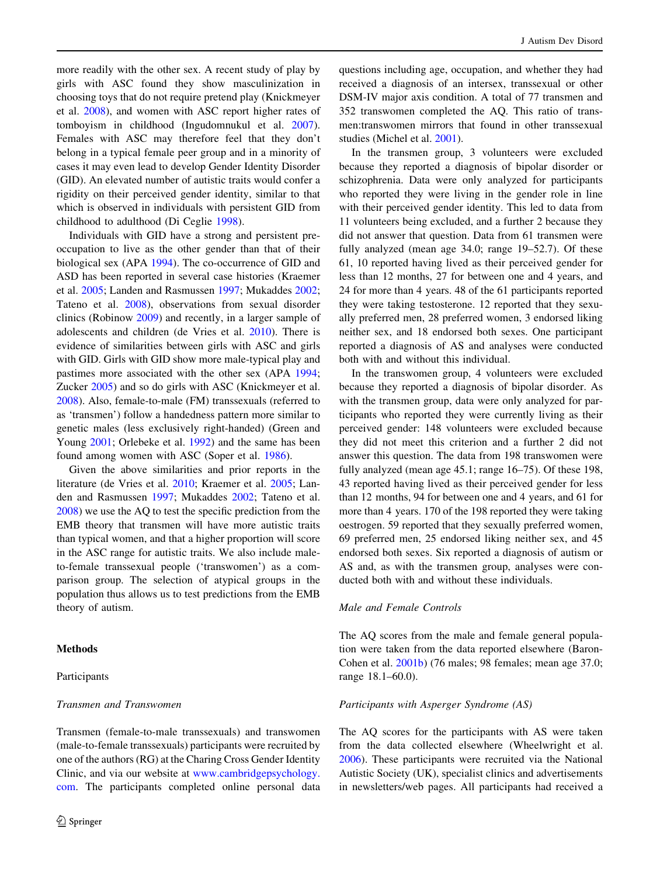more readily with the other sex. A recent study of play by girls with ASC found they show masculinization in choosing toys that do not require pretend play (Knickmeyer et al. [2008\)](#page-5-0), and women with ASC report higher rates of tomboyism in childhood (Ingudomnukul et al. [2007](#page-4-0)). Females with ASC may therefore feel that they don't belong in a typical female peer group and in a minority of cases it may even lead to develop Gender Identity Disorder (GID). An elevated number of autistic traits would confer a rigidity on their perceived gender identity, similar to that which is observed in individuals with persistent GID from childhood to adulthood (Di Ceglie [1998\)](#page-4-0).

Individuals with GID have a strong and persistent preoccupation to live as the other gender than that of their biological sex (APA [1994](#page-4-0)). The co-occurrence of GID and ASD has been reported in several case histories (Kraemer et al. [2005](#page-5-0); Landen and Rasmussen [1997;](#page-5-0) Mukaddes [2002](#page-5-0); Tateno et al. [2008\)](#page-5-0), observations from sexual disorder clinics (Robinow [2009](#page-5-0)) and recently, in a larger sample of adolescents and children (de Vries et al. [2010\)](#page-4-0). There is evidence of similarities between girls with ASC and girls with GID. Girls with GID show more male-typical play and pastimes more associated with the other sex (APA [1994](#page-4-0); Zucker [2005](#page-5-0)) and so do girls with ASC (Knickmeyer et al. [2008\)](#page-5-0). Also, female-to-male (FM) transsexuals (referred to as 'transmen') follow a handedness pattern more similar to genetic males (less exclusively right-handed) (Green and Young [2001](#page-4-0); Orlebeke et al. [1992](#page-5-0)) and the same has been found among women with ASC (Soper et al. [1986](#page-5-0)).

Given the above similarities and prior reports in the literature (de Vries et al. [2010;](#page-4-0) Kraemer et al. [2005](#page-5-0); Landen and Rasmussen [1997;](#page-5-0) Mukaddes [2002](#page-5-0); Tateno et al. [2008\)](#page-5-0) we use the AQ to test the specific prediction from the EMB theory that transmen will have more autistic traits than typical women, and that a higher proportion will score in the ASC range for autistic traits. We also include maleto-female transsexual people ('transwomen') as a comparison group. The selection of atypical groups in the population thus allows us to test predictions from the EMB theory of autism.

## **Methods**

## Participants

## Transmen and Transwomen

Transmen (female-to-male transsexuals) and transwomen (male-to-female transsexuals) participants were recruited by one of the authors (RG) at the Charing Cross Gender Identity Clinic, and via our website at [www.cambridgepsychology.](http://www.cambridgepsychology.com) [com](http://www.cambridgepsychology.com). The participants completed online personal data questions including age, occupation, and whether they had received a diagnosis of an intersex, transsexual or other DSM-IV major axis condition. A total of 77 transmen and 352 transwomen completed the AQ. This ratio of transmen:transwomen mirrors that found in other transsexual studies (Michel et al. [2001\)](#page-5-0).

In the transmen group, 3 volunteers were excluded because they reported a diagnosis of bipolar disorder or schizophrenia. Data were only analyzed for participants who reported they were living in the gender role in line with their perceived gender identity. This led to data from 11 volunteers being excluded, and a further 2 because they did not answer that question. Data from 61 transmen were fully analyzed (mean age 34.0; range 19–52.7). Of these 61, 10 reported having lived as their perceived gender for less than 12 months, 27 for between one and 4 years, and 24 for more than 4 years. 48 of the 61 participants reported they were taking testosterone. 12 reported that they sexually preferred men, 28 preferred women, 3 endorsed liking neither sex, and 18 endorsed both sexes. One participant reported a diagnosis of AS and analyses were conducted both with and without this individual.

In the transwomen group, 4 volunteers were excluded because they reported a diagnosis of bipolar disorder. As with the transmen group, data were only analyzed for participants who reported they were currently living as their perceived gender: 148 volunteers were excluded because they did not meet this criterion and a further 2 did not answer this question. The data from 198 transwomen were fully analyzed (mean age 45.1; range 16–75). Of these 198, 43 reported having lived as their perceived gender for less than 12 months, 94 for between one and 4 years, and 61 for more than 4 years. 170 of the 198 reported they were taking oestrogen. 59 reported that they sexually preferred women, 69 preferred men, 25 endorsed liking neither sex, and 45 endorsed both sexes. Six reported a diagnosis of autism or AS and, as with the transmen group, analyses were conducted both with and without these individuals.

#### Male and Female Controls

The AQ scores from the male and female general population were taken from the data reported elsewhere (Baron-Cohen et al. [2001b](#page-4-0)) (76 males; 98 females; mean age 37.0; range 18.1–60.0).

#### Participants with Asperger Syndrome (AS)

The AQ scores for the participants with AS were taken from the data collected elsewhere (Wheelwright et al. [2006](#page-5-0)). These participants were recruited via the National Autistic Society (UK), specialist clinics and advertisements in newsletters/web pages. All participants had received a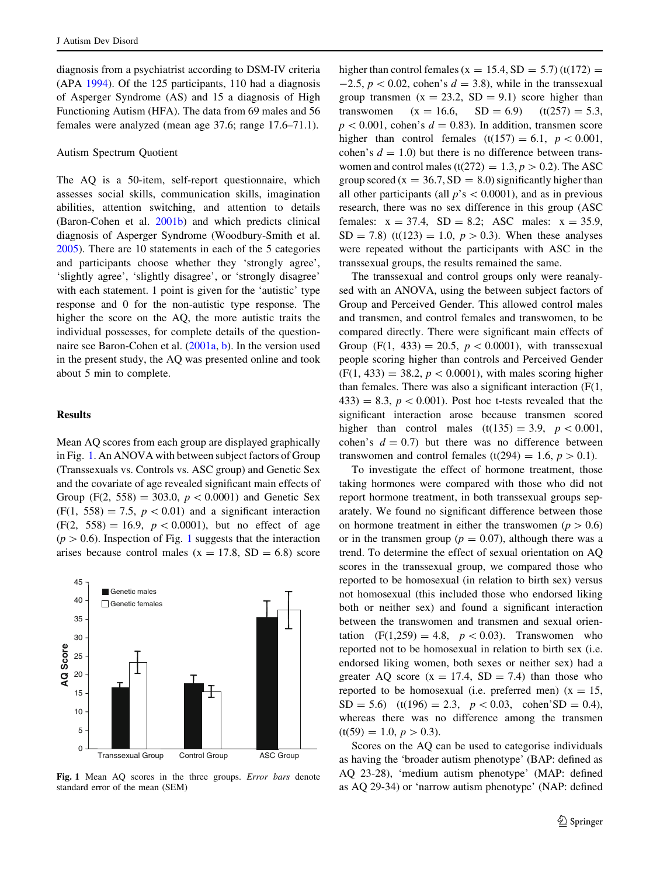diagnosis from a psychiatrist according to DSM-IV criteria (APA [1994\)](#page-4-0). Of the 125 participants, 110 had a diagnosis of Asperger Syndrome (AS) and 15 a diagnosis of High Functioning Autism (HFA). The data from 69 males and 56 females were analyzed (mean age 37.6; range 17.6–71.1).

# Autism Spectrum Quotient

The AQ is a 50-item, self-report questionnaire, which assesses social skills, communication skills, imagination abilities, attention switching, and attention to details (Baron-Cohen et al. [2001b](#page-4-0)) and which predicts clinical diagnosis of Asperger Syndrome (Woodbury-Smith et al. [2005\)](#page-5-0). There are 10 statements in each of the 5 categories and participants choose whether they 'strongly agree', 'slightly agree', 'slightly disagree', or 'strongly disagree' with each statement. 1 point is given for the 'autistic' type response and 0 for the non-autistic type response. The higher the score on the AQ, the more autistic traits the individual possesses, for complete details of the questionnaire see Baron-Cohen et al. ([2001a](#page-4-0), [b](#page-4-0)). In the version used in the present study, the AQ was presented online and took about 5 min to complete.

## **Results**

Mean AQ scores from each group are displayed graphically in Fig. 1. An ANOVA with between subject factors of Group (Transsexuals vs. Controls vs. ASC group) and Genetic Sex and the covariate of age revealed significant main effects of Group (F(2, 558) = 303.0,  $p < 0.0001$ ) and Genetic Sex  $(F(1, 558) = 7.5, p < 0.01)$  and a significant interaction  $(F(2, 558) = 16.9, p < 0.0001)$ , but no effect of age  $(p > 0.6)$ . Inspection of Fig. 1 suggests that the interaction arises because control males ( $x = 17.8$ ,  $SD = 6.8$ ) score



Fig. 1 Mean AQ scores in the three groups. Error bars denote standard error of the mean (SEM)

higher than control females ( $x = 15.4$ , SD = 5.7) (t(172) =  $-2.5$ ,  $p < 0.02$ , cohen's  $d = 3.8$ ), while in the transsexual group transmen  $(x = 23.2, SD = 9.1)$  score higher than transwomen  $(x = 16.6, SD = 6.9)$   $(t(257) = 5.3,$  $p < 0.001$ , cohen's  $d = 0.83$ ). In addition, transmen score higher than control females  $(t(157) = 6.1, p < 0.001,$ cohen's  $d = 1.0$ ) but there is no difference between transwomen and control males (t(272) = 1.3,  $p > 0.2$ ). The ASC group scored ( $x = 36.7$ ,  $SD = 8.0$ ) significantly higher than all other participants (all  $p$ 's  $\lt$  0.0001), and as in previous research, there was no sex difference in this group (ASC females:  $x = 37.4$ ,  $SD = 8.2$ ; ASC males:  $x = 35.9$ ,  $SD = 7.8$ ) (t(123) = 1.0,  $p > 0.3$ ). When these analyses were repeated without the participants with ASC in the transsexual groups, the results remained the same.

The transsexual and control groups only were reanalysed with an ANOVA, using the between subject factors of Group and Perceived Gender. This allowed control males and transmen, and control females and transwomen, to be compared directly. There were significant main effects of Group (F(1, 433) = 20.5,  $p < 0.0001$ ), with transsexual people scoring higher than controls and Perceived Gender  $(F(1, 433) = 38.2, p < 0.0001)$ , with males scoring higher than females. There was also a significant interaction (F(1, 433) = 8.3,  $p < 0.001$ ). Post hoc t-tests revealed that the significant interaction arose because transmen scored higher than control males  $(t(135) = 3.9, p < 0.001,$ cohen's  $d = 0.7$ ) but there was no difference between transwomen and control females (t(294) = 1.6,  $p > 0.1$ ).

To investigate the effect of hormone treatment, those taking hormones were compared with those who did not report hormone treatment, in both transsexual groups separately. We found no significant difference between those on hormone treatment in either the transwomen ( $p > 0.6$ ) or in the transmen group ( $p = 0.07$ ), although there was a trend. To determine the effect of sexual orientation on AQ scores in the transsexual group, we compared those who reported to be homosexual (in relation to birth sex) versus not homosexual (this included those who endorsed liking both or neither sex) and found a significant interaction between the transwomen and transmen and sexual orientation  $(F(1,259) = 4.8, p < 0.03)$ . Transwomen who reported not to be homosexual in relation to birth sex (i.e. endorsed liking women, both sexes or neither sex) had a greater AQ score  $(x = 17.4, SD = 7.4)$  than those who reported to be homosexual (i.e. preferred men)  $(x = 15$ ,  $SD = 5.6$ ) (t(196) = 2.3,  $p < 0.03$ , cohen'SD = 0.4), whereas there was no difference among the transmen  $(t(59) = 1.0, p > 0.3).$ 

Scores on the AQ can be used to categorise individuals as having the 'broader autism phenotype' (BAP: defined as AQ 23-28), 'medium autism phenotype' (MAP: defined as AQ 29-34) or 'narrow autism phenotype' (NAP: defined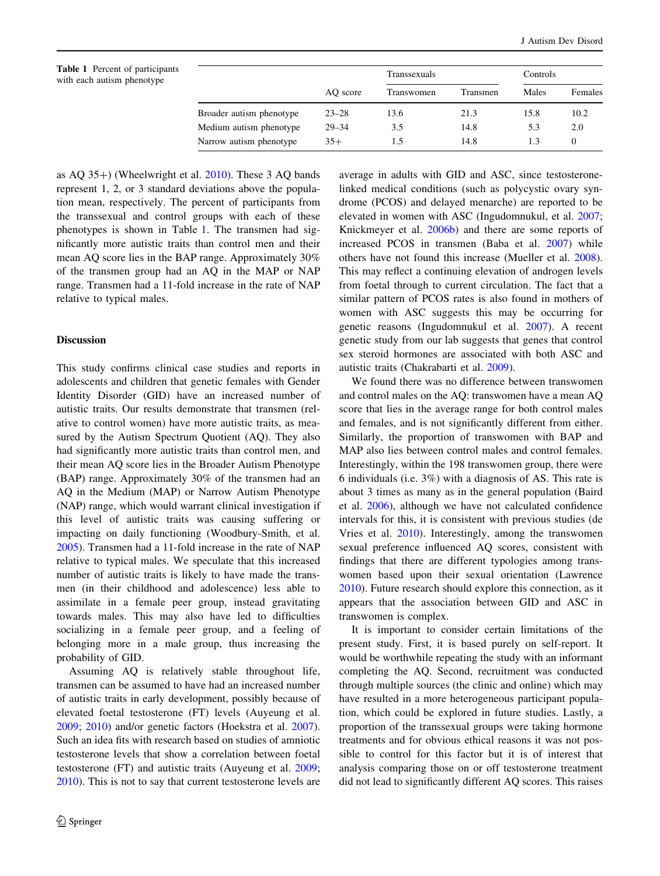|                          | AO score  | Transsexuals |          | Controls |          |
|--------------------------|-----------|--------------|----------|----------|----------|
|                          |           | Transwomen   | Transmen | Males    | Females  |
| Broader autism phenotype | $23 - 28$ | 13.6         | 21.3     | 15.8     | 10.2     |
| Medium autism phenotype  | $29 - 34$ | 3.5          | 14.8     | 5.3      | 2.0      |
| Narrow autism phenotype  | $35+$     | 1.5          | 14.8     | 1.3      | $\theta$ |

as  $AQ$  35+) (Wheelwright et al.  $2010$ ). These 3 AQ bands represent 1, 2, or 3 standard deviations above the population mean, respectively. The percent of participants from the transsexual and control groups with each of these phenotypes is shown in Table 1. The transmen had significantly more autistic traits than control men and their mean AQ score lies in the BAP range. Approximately 30% of the transmen group had an AQ in the MAP or NAP range. Transmen had a 11-fold increase in the rate of NAP relative to typical males.

# Discussion

This study confirms clinical case studies and reports in adolescents and children that genetic females with Gender Identity Disorder (GID) have an increased number of autistic traits. Our results demonstrate that transmen (relative to control women) have more autistic traits, as measured by the Autism Spectrum Quotient (AQ). They also had significantly more autistic traits than control men, and their mean AQ score lies in the Broader Autism Phenotype (BAP) range. Approximately 30% of the transmen had an AQ in the Medium (MAP) or Narrow Autism Phenotype (NAP) range, which would warrant clinical investigation if this level of autistic traits was causing suffering or impacting on daily functioning (Woodbury-Smith, et al. [2005\)](#page-5-0). Transmen had a 11-fold increase in the rate of NAP relative to typical males. We speculate that this increased number of autistic traits is likely to have made the transmen (in their childhood and adolescence) less able to assimilate in a female peer group, instead gravitating towards males. This may also have led to difficulties socializing in a female peer group, and a feeling of belonging more in a male group, thus increasing the probability of GID.

Assuming AQ is relatively stable throughout life, transmen can be assumed to have had an increased number of autistic traits in early development, possibly because of elevated foetal testosterone (FT) levels (Auyeung et al. [2009;](#page-4-0) [2010](#page-4-0)) and/or genetic factors (Hoekstra et al. [2007](#page-4-0)). Such an idea fits with research based on studies of amniotic testosterone levels that show a correlation between foetal testosterone (FT) and autistic traits (Auyeung et al. [2009](#page-4-0); [2010\)](#page-4-0). This is not to say that current testosterone levels are average in adults with GID and ASC, since testosteronelinked medical conditions (such as polycystic ovary syndrome (PCOS) and delayed menarche) are reported to be elevated in women with ASC (Ingudomnukul, et al. [2007](#page-4-0); Knickmeyer et al. [2006b\)](#page-4-0) and there are some reports of increased PCOS in transmen (Baba et al. [2007](#page-4-0)) while others have not found this increase (Mueller et al. [2008](#page-5-0)). This may reflect a continuing elevation of androgen levels from foetal through to current circulation. The fact that a similar pattern of PCOS rates is also found in mothers of women with ASC suggests this may be occurring for genetic reasons (Ingudomnukul et al. [2007\)](#page-4-0). A recent genetic study from our lab suggests that genes that control sex steroid hormones are associated with both ASC and autistic traits (Chakrabarti et al. [2009](#page-4-0)).

We found there was no difference between transwomen and control males on the AQ: transwomen have a mean AQ score that lies in the average range for both control males and females, and is not significantly different from either. Similarly, the proportion of transwomen with BAP and MAP also lies between control males and control females. Interestingly, within the 198 transwomen group, there were 6 individuals (i.e. 3%) with a diagnosis of AS. This rate is about 3 times as many as in the general population (Baird et al. [2006](#page-4-0)), although we have not calculated confidence intervals for this, it is consistent with previous studies (de Vries et al. [2010\)](#page-4-0). Interestingly, among the transwomen sexual preference influenced AQ scores, consistent with findings that there are different typologies among transwomen based upon their sexual orientation (Lawrence [2010](#page-5-0)). Future research should explore this connection, as it appears that the association between GID and ASC in transwomen is complex.

It is important to consider certain limitations of the present study. First, it is based purely on self-report. It would be worthwhile repeating the study with an informant completing the AQ. Second, recruitment was conducted through multiple sources (the clinic and online) which may have resulted in a more heterogeneous participant population, which could be explored in future studies. Lastly, a proportion of the transsexual groups were taking hormone treatments and for obvious ethical reasons it was not possible to control for this factor but it is of interest that analysis comparing those on or off testosterone treatment did not lead to significantly different AQ scores. This raises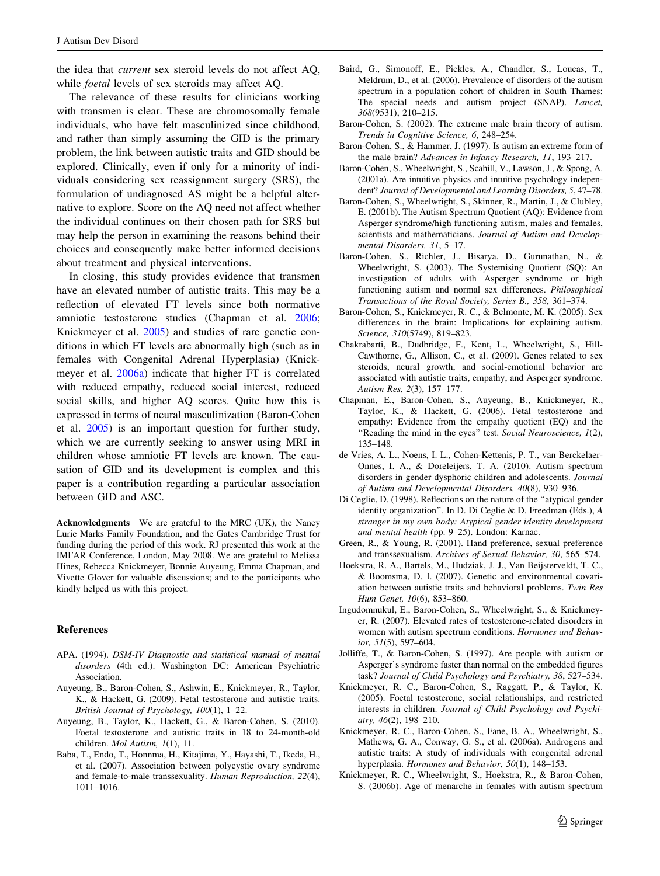<span id="page-4-0"></span>the idea that current sex steroid levels do not affect AQ, while foetal levels of sex steroids may affect AQ.

The relevance of these results for clinicians working with transmen is clear. These are chromosomally female individuals, who have felt masculinized since childhood, and rather than simply assuming the GID is the primary problem, the link between autistic traits and GID should be explored. Clinically, even if only for a minority of individuals considering sex reassignment surgery (SRS), the formulation of undiagnosed AS might be a helpful alternative to explore. Score on the AQ need not affect whether the individual continues on their chosen path for SRS but may help the person in examining the reasons behind their choices and consequently make better informed decisions about treatment and physical interventions.

In closing, this study provides evidence that transmen have an elevated number of autistic traits. This may be a reflection of elevated FT levels since both normative amniotic testosterone studies (Chapman et al. 2006; Knickmeyer et al. 2005) and studies of rare genetic conditions in which FT levels are abnormally high (such as in females with Congenital Adrenal Hyperplasia) (Knickmeyer et al. 2006a) indicate that higher FT is correlated with reduced empathy, reduced social interest, reduced social skills, and higher AQ scores. Quite how this is expressed in terms of neural masculinization (Baron-Cohen et al. 2005) is an important question for further study, which we are currently seeking to answer using MRI in children whose amniotic FT levels are known. The causation of GID and its development is complex and this paper is a contribution regarding a particular association between GID and ASC.

Acknowledgments We are grateful to the MRC (UK), the Nancy Lurie Marks Family Foundation, and the Gates Cambridge Trust for funding during the period of this work. RJ presented this work at the IMFAR Conference, London, May 2008. We are grateful to Melissa Hines, Rebecca Knickmeyer, Bonnie Auyeung, Emma Chapman, and Vivette Glover for valuable discussions; and to the participants who kindly helped us with this project.

#### References

- APA. (1994). DSM-IV Diagnostic and statistical manual of mental disorders (4th ed.). Washington DC: American Psychiatric Association.
- Auyeung, B., Baron-Cohen, S., Ashwin, E., Knickmeyer, R., Taylor, K., & Hackett, G. (2009). Fetal testosterone and autistic traits. British Journal of Psychology, 100(1), 1–22.
- Auyeung, B., Taylor, K., Hackett, G., & Baron-Cohen, S. (2010). Foetal testosterone and autistic traits in 18 to 24-month-old children. Mol Autism, 1(1), 11.
- Baba, T., Endo, T., Honnma, H., Kitajima, Y., Hayashi, T., Ikeda, H., et al. (2007). Association between polycystic ovary syndrome and female-to-male transsexuality. Human Reproduction, 22(4), 1011–1016.
- Baird, G., Simonoff, E., Pickles, A., Chandler, S., Loucas, T., Meldrum, D., et al. (2006). Prevalence of disorders of the autism spectrum in a population cohort of children in South Thames: The special needs and autism project (SNAP). Lancet, 368(9531), 210–215.
- Baron-Cohen, S. (2002). The extreme male brain theory of autism. Trends in Cognitive Science, 6, 248–254.
- Baron-Cohen, S., & Hammer, J. (1997). Is autism an extreme form of the male brain? Advances in Infancy Research, 11, 193–217.
- Baron-Cohen, S., Wheelwright, S., Scahill, V., Lawson, J., & Spong, A. (2001a). Are intuitive physics and intuitive psychology independent? Journal of Developmental and Learning Disorders, 5, 47–78.
- Baron-Cohen, S., Wheelwright, S., Skinner, R., Martin, J., & Clubley, E. (2001b). The Autism Spectrum Quotient (AQ): Evidence from Asperger syndrome/high functioning autism, males and females, scientists and mathematicians. Journal of Autism and Developmental Disorders, 31, 5–17.
- Baron-Cohen, S., Richler, J., Bisarya, D., Gurunathan, N., & Wheelwright, S. (2003). The Systemising Quotient (SQ): An investigation of adults with Asperger syndrome or high functioning autism and normal sex differences. Philosophical Transactions of the Royal Society, Series B., 358, 361–374.
- Baron-Cohen, S., Knickmeyer, R. C., & Belmonte, M. K. (2005). Sex differences in the brain: Implications for explaining autism. Science, 310(5749), 819–823.
- Chakrabarti, B., Dudbridge, F., Kent, L., Wheelwright, S., Hill-Cawthorne, G., Allison, C., et al. (2009). Genes related to sex steroids, neural growth, and social-emotional behavior are associated with autistic traits, empathy, and Asperger syndrome. Autism Res, 2(3), 157–177.
- Chapman, E., Baron-Cohen, S., Auyeung, B., Knickmeyer, R., Taylor, K., & Hackett, G. (2006). Fetal testosterone and empathy: Evidence from the empathy quotient (EQ) and the "Reading the mind in the eyes" test. Social Neuroscience, 1(2), 135–148.
- de Vries, A. L., Noens, I. L., Cohen-Kettenis, P. T., van Berckelaer-Onnes, I. A., & Doreleijers, T. A. (2010). Autism spectrum disorders in gender dysphoric children and adolescents. Journal of Autism and Developmental Disorders, 40(8), 930–936.
- Di Ceglie, D. (1998). Reflections on the nature of the ''atypical gender identity organization''. In D. Di Ceglie & D. Freedman (Eds.), A stranger in my own body: Atypical gender identity development and mental health (pp. 9–25). London: Karnac.
- Green, R., & Young, R. (2001). Hand preference, sexual preference and transsexualism. Archives of Sexual Behavior, 30, 565–574.
- Hoekstra, R. A., Bartels, M., Hudziak, J. J., Van Beijsterveldt, T. C., & Boomsma, D. I. (2007). Genetic and environmental covariation between autistic traits and behavioral problems. Twin Res Hum Genet, 10(6), 853–860.
- Ingudomnukul, E., Baron-Cohen, S., Wheelwright, S., & Knickmeyer, R. (2007). Elevated rates of testosterone-related disorders in women with autism spectrum conditions. Hormones and Behavior, 51(5), 597–604.
- Jolliffe, T., & Baron-Cohen, S. (1997). Are people with autism or Asperger's syndrome faster than normal on the embedded figures task? Journal of Child Psychology and Psychiatry, 38, 527–534.
- Knickmeyer, R. C., Baron-Cohen, S., Raggatt, P., & Taylor, K. (2005). Foetal testosterone, social relationships, and restricted interests in children. Journal of Child Psychology and Psychiatry, 46(2), 198–210.
- Knickmeyer, R. C., Baron-Cohen, S., Fane, B. A., Wheelwright, S., Mathews, G. A., Conway, G. S., et al. (2006a). Androgens and autistic traits: A study of individuals with congenital adrenal hyperplasia. Hormones and Behavior, 50(1), 148–153.
- Knickmeyer, R. C., Wheelwright, S., Hoekstra, R., & Baron-Cohen, S. (2006b). Age of menarche in females with autism spectrum